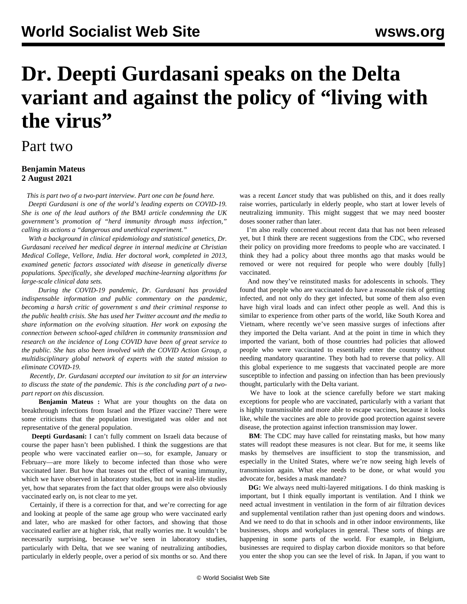## **Dr. Deepti Gurdasani speaks on the Delta variant and against the policy of "living with the virus"**

## Part two

## **Benjamin Mateus 2 August 2021**

*This is part two of a two-part interview. Part one can be found [here](/en/articles/2021/08/02/gurd-a02.html).*

 *Deepti Gurdasani is one of the world's leading experts on COVID-19. She is one of the lead authors of the* BMJ *[article](https://blogs.bmj.com/bmj/2021/07/15/governments-plan-recklessly-exposes-millions-in-the-uk-to-infection-when-they-could-be-vaccinated/) condemning the UK government's promotion of "herd immunity through mass infection," calling its actions a "dangerous and unethical experiment."*

 *With a background in clinical epidemiology and statistical genetics, Dr. Gurdasani received her medical degree in internal medicine at Christian Medical College, Vellore, India. Her doctoral work, completed in 2013, examined genetic factors associated with disease in genetically diverse populations. Specifically, she developed machine-learning algorithms for large-scale clinical data sets.*

 *During the COVID-19 pandemic, Dr. Gurdasani has provided indispensable information and public commentary on the pandemic, becoming a harsh critic of government s and their criminal response to the public health crisis. She has used her Twitter account and the media to share information on the evolving situation. Her work on exposing the connection between school-aged children in community transmission and research on the incidence of Long COVID have been of great service to the public. She has also been involved with the COVID Action Group, a multidisciplinary global network of experts with the stated mission to eliminate COVID-19.*

 *Recently, Dr. Gurdasani accepted our invitation to sit for an interview to discuss the state of the pandemic. This is the concluding part of a twopart report on this discussion.*

 **Benjamin Mateus :** What are your thoughts on the data on breakthrough infections from Israel and the Pfizer vaccine? There were some criticisms that the population investigated was older and not representative of the general population.

 **Deepti Gurdasani:** I can't fully comment on Israeli data because of course the paper hasn't been published. I think the suggestions are that people who were vaccinated earlier on—so, for example, January or February—are more likely to become infected than those who were vaccinated later. But how that teases out the effect of waning immunity, which we have observed in laboratory studies, but not in real-life studies yet, how that separates from the fact that older groups were also obviously vaccinated early on, is not clear to me yet.

 Certainly, if there is a correction for that, and we're correcting for age and looking at people of the same age group who were vaccinated early and later, who are masked for other factors, and showing that those vaccinated earlier are at higher risk, that really worries me. It wouldn't be necessarily surprising, because we've seen in laboratory studies, particularly with Delta, that we see waning of neutralizing antibodies, particularly in elderly people, over a period of six months or so. And there

was a recent *Lancet* study that was published on this, and it does really raise worries, particularly in elderly people, who start at lower levels of neutralizing immunity. This might suggest that we may need booster doses sooner rather than later.

 I'm also really concerned about recent data that has not been released yet, but I think there are recent suggestions from the CDC, who reversed their policy on providing more freedoms to people who are vaccinated. I think they had a policy about three months ago that masks would be removed or were not required for people who were doubly [fully] vaccinated.

 And now they've reinstituted masks for adolescents in schools. They found that people who are vaccinated do have a reasonable risk of getting infected, and not only do they get infected, but some of them also even have high viral loads and can infect other people as well. And this is similar to experience from other parts of the world, like South Korea and Vietnam, where recently we've seen massive surges of infections after they imported the Delta variant. And at the point in time in which they imported the variant, both of those countries had policies that allowed people who were vaccinated to essentially enter the country without needing mandatory quarantine. They both had to reverse that policy. All this global experience to me suggests that vaccinated people are more susceptible to infection and passing on infection than has been previously thought, particularly with the Delta variant.

 We have to look at the science carefully before we start making exceptions for people who are vaccinated, particularly with a variant that is highly transmissible and more able to escape vaccines, because it looks like, while the vaccines are able to provide good protection against severe disease, the protection against infection transmission may lower.

 **BM**: The CDC may have called for reinstating masks, but how many states will readopt these measures is not clear. But for me, it seems like masks by themselves are insufficient to stop the transmission, and especially in the United States, where we're now seeing high levels of transmission again. What else needs to be done, or what would you advocate for, besides a mask mandate?

 **DG:** We always need multi-layered mitigations. I do think masking is important, but I think equally important is ventilation. And I think we need actual investment in ventilation in the form of air filtration devices and supplemental ventilation rather than just opening doors and windows. And we need to do that in schools and in other indoor environments, like businesses, shops and workplaces in general. These sorts of things are happening in some parts of the world. For example, in Belgium, businesses are required to display carbon dioxide monitors so that before you enter the shop you can see the level of risk. In Japan, if you want to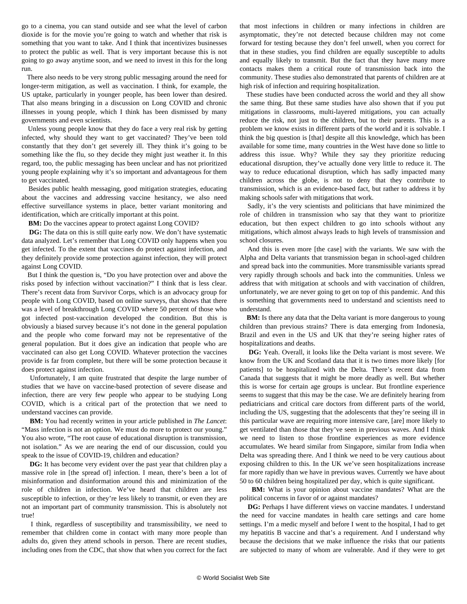go to a cinema, you can stand outside and see what the level of carbon dioxide is for the movie you're going to watch and whether that risk is something that you want to take. And I think that incentivizes businesses to protect the public as well. That is very important because this is not going to go away anytime soon, and we need to invest in this for the long run.

 There also needs to be very strong public messaging around the need for longer-term mitigation, as well as vaccination. I think, for example, the US uptake, particularly in younger people, has been lower than desired. That also means bringing in a discussion on Long COVID and chronic illnesses in young people, which I think has been dismissed by many governments and even scientists.

 Unless young people know that they do face a very real risk by getting infected, why should they want to get vaccinated? They've been told constantly that they don't get severely ill. They think it's going to be something like the flu, so they decide they might just weather it. In this regard, too, the public messaging has been unclear and has not prioritized young people explaining why it's so important and advantageous for them to get vaccinated.

 Besides public health messaging, good mitigation strategies, educating about the vaccines and addressing vaccine hesitancy, we also need effective surveillance systems in place, better variant monitoring and identification, which are critically important at this point.

**BM:** Do the vaccines appear to protect against Long COVID?

**DG:** The data on this is still quite early now. We don't have systematic data analyzed. Let's remember that Long COVID only happens when you get infected. To the extent that vaccines do protect against infection, and they definitely provide some protection against infection, they will protect against Long COVID.

 But I think the question is, "Do you have protection over and above the risks posed by infection without vaccination?" I think that is less clear. There's recent data from Survivor Corps, which is an advocacy group for people with Long COVID, based on online surveys, that shows that there was a level of breakthrough Long COVID where 50 percent of those who got infected post-vaccination developed the condition. But this is obviously a biased survey because it's not done in the general population and the people who come forward may not be representative of the general population. But it does give an indication that people who are vaccinated can also get Long COVID. Whatever protection the vaccines provide is far from complete, but there will be some protection because it does protect against infection.

 Unfortunately, I am quite frustrated that despite the large number of studies that we have on vaccine-based protection of severe disease and infection, there are very few people who appear to be studying Long COVID, which is a critical part of the protection that we need to understand vaccines can provide.

 **BM:** You had recently written in your article published in *The Lancet*: "Mass infection is not an option. We must do more to protect our young." You also wrote, "The root cause of educational disruption is transmission, not isolation." As we are nearing the end of our discussion, could you speak to the issue of COVID-19, children and education?

 **DG:** It has become very evident over the past year that children play a massive role in [the spread of] infection. I mean, there's been a lot of misinformation and disinformation around this and minimization of the role of children in infection. We've heard that children are less susceptible to infection, or they're less likely to transmit, or even they are not an important part of community transmission. This is absolutely not true!

 I think, regardless of susceptibility and transmissibility, we need to remember that children come in contact with many more people than adults do, given they attend schools in person. There are recent studies, including ones from the CDC, that show that when you correct for the fact that most infections in children or many infections in children are asymptomatic, they're not detected because children may not come forward for testing because they don't feel unwell, when you correct for that in these studies, you find children are equally susceptible to adults and equally likely to transmit. But the fact that they have many more contacts makes them a critical route of transmission back into the community. These studies also demonstrated that parents of children are at high risk of infection and requiring hospitalization.

 These studies have been conducted across the world and they all show the same thing. But these same studies have also shown that if you put mitigations in classrooms, multi-layered mitigations, you can actually reduce the risk, not just to the children, but to their parents. This is a problem we know exists in different parts of the world and it is solvable. I think the big question is [that] despite all this knowledge, which has been available for some time, many countries in the West have done so little to address this issue. Why? While they say they prioritize reducing educational disruption, they've actually done very little to reduce it. The way to reduce educational disruption, which has sadly impacted many children across the globe, is not to deny that they contribute to transmission, which is an evidence-based fact, but rather to address it by making schools safer with mitigations that work.

 Sadly, it's the very scientists and politicians that have minimized the role of children in transmission who say that they want to prioritize education, but then expect children to go into schools without any mitigations, which almost always leads to high levels of transmission and school closures.

 And this is even more [the case] with the variants. We saw with the Alpha and Delta variants that transmission began in school-aged children and spread back into the communities. More transmissible variants spread very rapidly through schools and back into the communities. Unless we address that with mitigation at schools and with vaccination of children, unfortunately, we are never going to get on top of this pandemic. And this is something that governments need to understand and scientists need to understand.

**BM:** Is there any data that the Delta variant is more dangerous to young children than previous strains? There is data emerging from Indonesia, Brazil and even in the US and UK that they're seeing higher rates of hospitalizations and deaths.

 **DG:** Yeah. Overall, it looks like the Delta variant is most severe. We know from the UK and Scotland data that it is two times more likely [for patients] to be hospitalized with the Delta. There's recent data from Canada that suggests that it might be more deadly as well. But whether this is worse for certain age groups is unclear. But frontline experience seems to suggest that this may be the case. We are definitely hearing from pediatricians and critical care doctors from different parts of the world, including the US, suggesting that the adolescents that they're seeing ill in this particular wave are requiring more intensive care, [are] more likely to get ventilated than those that they've seen in previous waves. And I think we need to listen to those frontline experiences as more evidence accumulates. We heard similar from Singapore, similar from India when Delta was spreading there. And I think we need to be very cautious about exposing children to this. In the UK we've seen hospitalizations increase far more rapidly than we have in previous waves. Currently we have about 50 to 60 children being hospitalized per day, which is quite significant.

 **BM:** What is your opinion about vaccine mandates? What are the political concerns in favor of or against mandates?

 **DG:** Perhaps I have different views on vaccine mandates. I understand the need for vaccine mandates in health care settings and care home settings. I'm a medic myself and before I went to the hospital, I had to get my hepatitis B vaccine and that's a requirement. And I understand why because the decisions that we make influence the risks that our patients are subjected to many of whom are vulnerable. And if they were to get